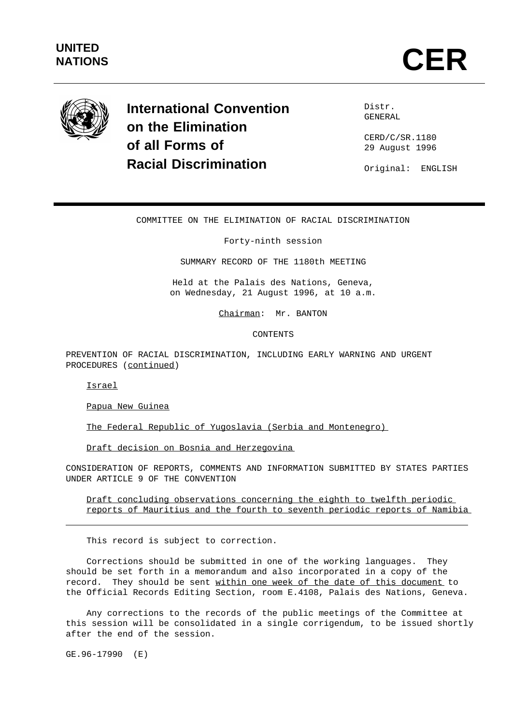

**International Convention on the Elimination of all Forms of Racial Discrimination**

Distr. GENERAL

CERD/C/SR.1180 29 August 1996

Original: ENGLISH

# COMMITTEE ON THE ELIMINATION OF RACIAL DISCRIMINATION

Forty-ninth session

SUMMARY RECORD OF THE 1180th MEETING

Held at the Palais des Nations, Geneva, on Wednesday, 21 August 1996, at 10 a.m.

Chairman: Mr. BANTON

CONTENTS

PREVENTION OF RACIAL DISCRIMINATION, INCLUDING EARLY WARNING AND URGENT PROCEDURES (continued)

Israel

Papua New Guinea

The Federal Republic of Yugoslavia (Serbia and Montenegro)

Draft decision on Bosnia and Herzegovina

CONSIDERATION OF REPORTS, COMMENTS AND INFORMATION SUBMITTED BY STATES PARTIES UNDER ARTICLE 9 OF THE CONVENTION

Draft concluding observations concerning the eighth to twelfth periodic reports of Mauritius and the fourth to seventh periodic reports of Namibia

This record is subject to correction.

Corrections should be submitted in one of the working languages. They should be set forth in a memorandum and also incorporated in a copy of the record. They should be sent within one week of the date of this document to the Official Records Editing Section, room E.4108, Palais des Nations, Geneva.

Any corrections to the records of the public meetings of the Committee at this session will be consolidated in a single corrigendum, to be issued shortly after the end of the session.

GE.96-17990 (E)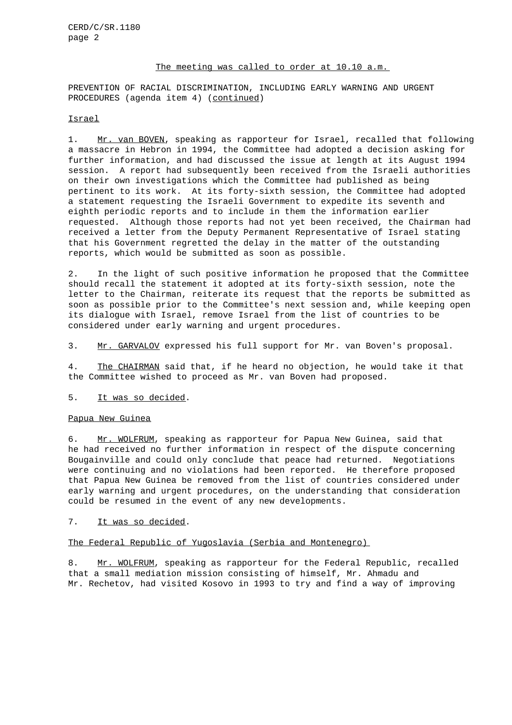#### The meeting was called to order at 10.10 a.m.

PREVENTION OF RACIAL DISCRIMINATION, INCLUDING EARLY WARNING AND URGENT PROCEDURES (agenda item 4) (continued)

# Israel

1. Mr. van BOVEN, speaking as rapporteur for Israel, recalled that following a massacre in Hebron in 1994, the Committee had adopted a decision asking for further information, and had discussed the issue at length at its August 1994 session. A report had subsequently been received from the Israeli authorities on their own investigations which the Committee had published as being pertinent to its work. At its forty-sixth session, the Committee had adopted a statement requesting the Israeli Government to expedite its seventh and eighth periodic reports and to include in them the information earlier requested. Although those reports had not yet been received, the Chairman had received a letter from the Deputy Permanent Representative of Israel stating that his Government regretted the delay in the matter of the outstanding reports, which would be submitted as soon as possible.

2. In the light of such positive information he proposed that the Committee should recall the statement it adopted at its forty-sixth session, note the letter to the Chairman, reiterate its request that the reports be submitted as soon as possible prior to the Committee's next session and, while keeping open its dialogue with Israel, remove Israel from the list of countries to be considered under early warning and urgent procedures.

3. Mr. GARVALOV expressed his full support for Mr. van Boven's proposal.

4. The CHAIRMAN said that, if he heard no objection, he would take it that the Committee wished to proceed as Mr. van Boven had proposed.

## 5. It was so decided.

# Papua New Guinea

6. Mr. WOLFRUM, speaking as rapporteur for Papua New Guinea, said that he had received no further information in respect of the dispute concerning Bougainville and could only conclude that peace had returned. Negotiations were continuing and no violations had been reported. He therefore proposed that Papua New Guinea be removed from the list of countries considered under early warning and urgent procedures, on the understanding that consideration could be resumed in the event of any new developments.

#### 7. It was so decided.

### The Federal Republic of Yugoslavia (Serbia and Montenegro)

8. Mr. WOLFRUM, speaking as rapporteur for the Federal Republic, recalled that a small mediation mission consisting of himself, Mr. Ahmadu and Mr. Rechetov, had visited Kosovo in 1993 to try and find a way of improving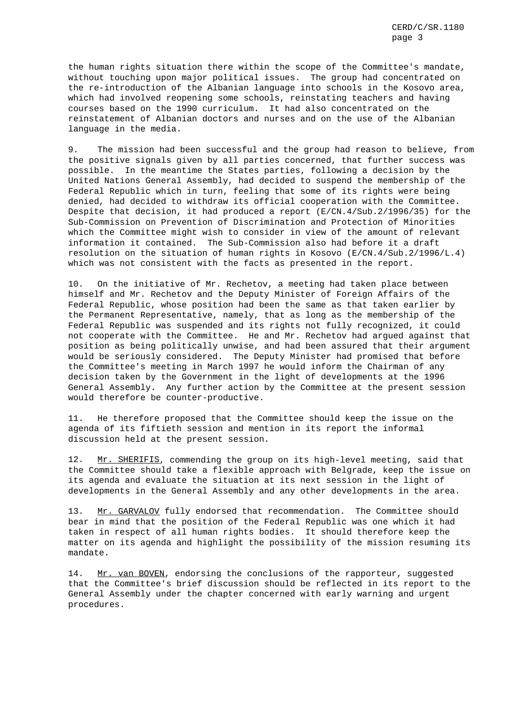the human rights situation there within the scope of the Committee's mandate, without touching upon major political issues. The group had concentrated on the re-introduction of the Albanian language into schools in the Kosovo area, which had involved reopening some schools, reinstating teachers and having courses based on the 1990 curriculum. It had also concentrated on the reinstatement of Albanian doctors and nurses and on the use of the Albanian language in the media.

9. The mission had been successful and the group had reason to believe, from the positive signals given by all parties concerned, that further success was possible. In the meantime the States parties, following a decision by the United Nations General Assembly, had decided to suspend the membership of the Federal Republic which in turn, feeling that some of its rights were being denied, had decided to withdraw its official cooperation with the Committee. Despite that decision, it had produced a report (E/CN.4/Sub.2/1996/35) for the Sub-Commission on Prevention of Discrimination and Protection of Minorities which the Committee might wish to consider in view of the amount of relevant information it contained. The Sub-Commission also had before it a draft resolution on the situation of human rights in Kosovo ( $E/CN.4/Sub.2/1996/L.4$ ) which was not consistent with the facts as presented in the report.

10. On the initiative of Mr. Rechetov, a meeting had taken place between himself and Mr. Rechetov and the Deputy Minister of Foreign Affairs of the Federal Republic, whose position had been the same as that taken earlier by the Permanent Representative, namely, that as long as the membership of the Federal Republic was suspended and its rights not fully recognized, it could not cooperate with the Committee. He and Mr. Rechetov had argued against that position as being politically unwise, and had been assured that their argument would be seriously considered. The Deputy Minister had promised that before the Committee's meeting in March 1997 he would inform the Chairman of any decision taken by the Government in the light of developments at the 1996 General Assembly. Any further action by the Committee at the present session would therefore be counter-productive.

11. He therefore proposed that the Committee should keep the issue on the agenda of its fiftieth session and mention in its report the informal discussion held at the present session.

12. Mr. SHERIFIS, commending the group on its high-level meeting, said that the Committee should take a flexible approach with Belgrade, keep the issue on its agenda and evaluate the situation at its next session in the light of developments in the General Assembly and any other developments in the area.

13. Mr. GARVALOV fully endorsed that recommendation. The Committee should bear in mind that the position of the Federal Republic was one which it had taken in respect of all human rights bodies. It should therefore keep the matter on its agenda and highlight the possibility of the mission resuming its mandate.

14. Mr. van BOVEN, endorsing the conclusions of the rapporteur, suggested that the Committee's brief discussion should be reflected in its report to the General Assembly under the chapter concerned with early warning and urgent procedures.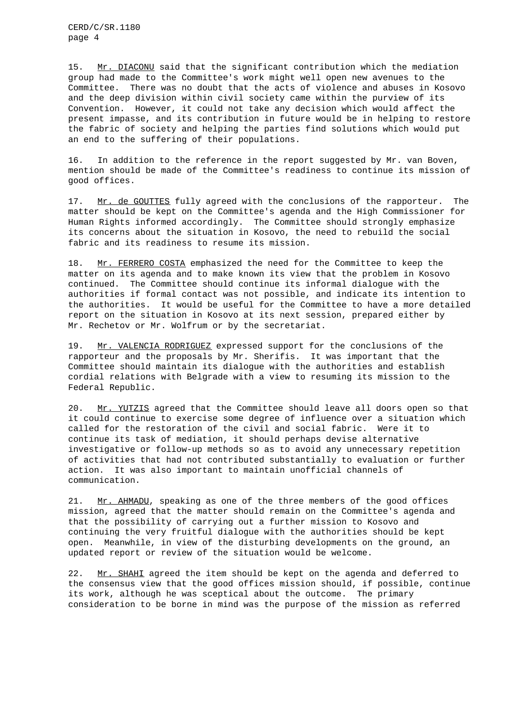CERD/C/SR.1180 page 4

15. Mr. DIACONU said that the significant contribution which the mediation group had made to the Committee's work might well open new avenues to the Committee. There was no doubt that the acts of violence and abuses in Kosovo and the deep division within civil society came within the purview of its Convention. However, it could not take any decision which would affect the present impasse, and its contribution in future would be in helping to restore the fabric of society and helping the parties find solutions which would put an end to the suffering of their populations.

16. In addition to the reference in the report suggested by Mr. van Boven, mention should be made of the Committee's readiness to continue its mission of good offices.

17. Mr. de GOUTTES fully agreed with the conclusions of the rapporteur. The matter should be kept on the Committee's agenda and the High Commissioner for Human Rights informed accordingly. The Committee should strongly emphasize its concerns about the situation in Kosovo, the need to rebuild the social fabric and its readiness to resume its mission.

18. Mr. FERRERO COSTA emphasized the need for the Committee to keep the matter on its agenda and to make known its view that the problem in Kosovo continued. The Committee should continue its informal dialogue with the authorities if formal contact was not possible, and indicate its intention to the authorities. It would be useful for the Committee to have a more detailed report on the situation in Kosovo at its next session, prepared either by Mr. Rechetov or Mr. Wolfrum or by the secretariat.

19. Mr. VALENCIA RODRIGUEZ expressed support for the conclusions of the rapporteur and the proposals by Mr. Sherifis. It was important that the Committee should maintain its dialogue with the authorities and establish cordial relations with Belgrade with a view to resuming its mission to the Federal Republic.

20. Mr. YUTZIS agreed that the Committee should leave all doors open so that it could continue to exercise some degree of influence over a situation which called for the restoration of the civil and social fabric. Were it to continue its task of mediation, it should perhaps devise alternative investigative or follow-up methods so as to avoid any unnecessary repetition of activities that had not contributed substantially to evaluation or further action. It was also important to maintain unofficial channels of communication.

21. Mr. AHMADU, speaking as one of the three members of the good offices mission, agreed that the matter should remain on the Committee's agenda and that the possibility of carrying out a further mission to Kosovo and continuing the very fruitful dialogue with the authorities should be kept open. Meanwhile, in view of the disturbing developments on the ground, an updated report or review of the situation would be welcome.

22. Mr. SHAHI agreed the item should be kept on the agenda and deferred to the consensus view that the good offices mission should, if possible, continue its work, although he was sceptical about the outcome. The primary consideration to be borne in mind was the purpose of the mission as referred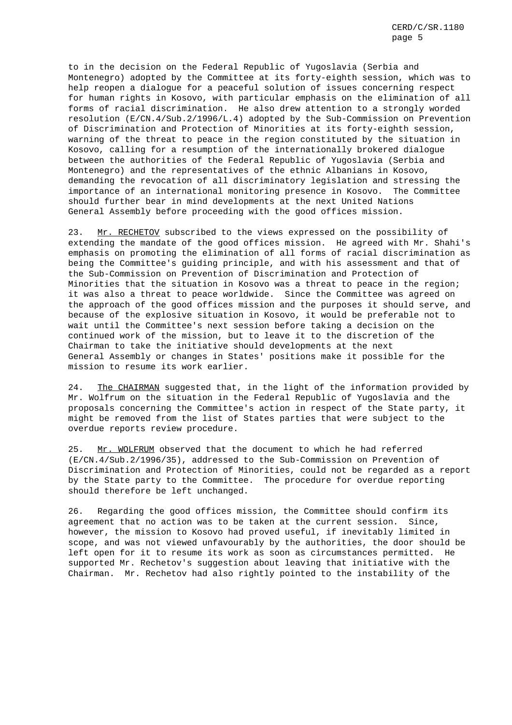to in the decision on the Federal Republic of Yugoslavia (Serbia and Montenegro) adopted by the Committee at its forty-eighth session, which was to help reopen a dialogue for a peaceful solution of issues concerning respect for human rights in Kosovo, with particular emphasis on the elimination of all forms of racial discrimination. He also drew attention to a strongly worded resolution (E/CN.4/Sub.2/1996/L.4) adopted by the Sub-Commission on Prevention of Discrimination and Protection of Minorities at its forty-eighth session, warning of the threat to peace in the region constituted by the situation in Kosovo, calling for a resumption of the internationally brokered dialogue between the authorities of the Federal Republic of Yugoslavia (Serbia and Montenegro) and the representatives of the ethnic Albanians in Kosovo, demanding the revocation of all discriminatory legislation and stressing the importance of an international monitoring presence in Kosovo. The Committee should further bear in mind developments at the next United Nations General Assembly before proceeding with the good offices mission.

23. Mr. RECHETOV subscribed to the views expressed on the possibility of extending the mandate of the good offices mission. He agreed with Mr. Shahi's emphasis on promoting the elimination of all forms of racial discrimination as being the Committee's guiding principle, and with his assessment and that of the Sub-Commission on Prevention of Discrimination and Protection of Minorities that the situation in Kosovo was a threat to peace in the region; it was also a threat to peace worldwide. Since the Committee was agreed on the approach of the good offices mission and the purposes it should serve, and because of the explosive situation in Kosovo, it would be preferable not to wait until the Committee's next session before taking a decision on the continued work of the mission, but to leave it to the discretion of the Chairman to take the initiative should developments at the next General Assembly or changes in States' positions make it possible for the mission to resume its work earlier.

24. The CHAIRMAN suggested that, in the light of the information provided by Mr. Wolfrum on the situation in the Federal Republic of Yugoslavia and the proposals concerning the Committee's action in respect of the State party, it might be removed from the list of States parties that were subject to the overdue reports review procedure.

25. Mr. WOLFRUM observed that the document to which he had referred (E/CN.4/Sub.2/1996/35), addressed to the Sub-Commission on Prevention of Discrimination and Protection of Minorities, could not be regarded as a report by the State party to the Committee. The procedure for overdue reporting should therefore be left unchanged.

26. Regarding the good offices mission, the Committee should confirm its agreement that no action was to be taken at the current session. Since, however, the mission to Kosovo had proved useful, if inevitably limited in scope, and was not viewed unfavourably by the authorities, the door should be left open for it to resume its work as soon as circumstances permitted. He supported Mr. Rechetov's suggestion about leaving that initiative with the Chairman. Mr. Rechetov had also rightly pointed to the instability of the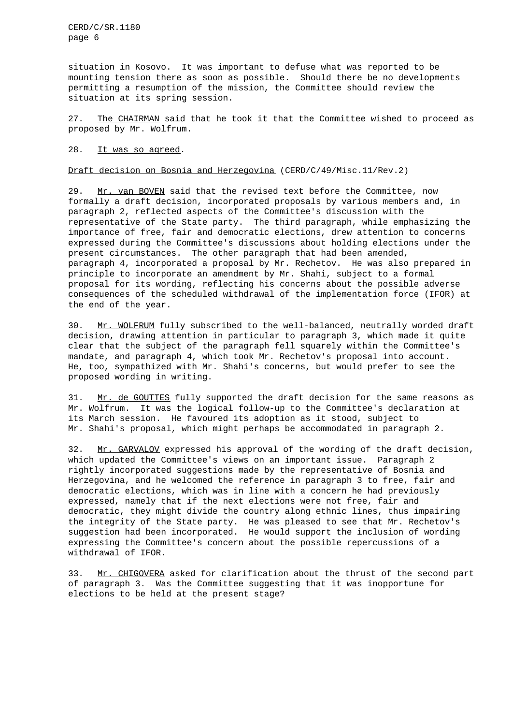CERD/C/SR.1180 page 6

situation in Kosovo. It was important to defuse what was reported to be mounting tension there as soon as possible. Should there be no developments permitting a resumption of the mission, the Committee should review the situation at its spring session.

27. The CHAIRMAN said that he took it that the Committee wished to proceed as proposed by Mr. Wolfrum.

# 28. It was so agreed.

## Draft decision on Bosnia and Herzegovina (CERD/C/49/Misc.11/Rev.2)

29. Mr. van BOVEN said that the revised text before the Committee, now formally a draft decision, incorporated proposals by various members and, in paragraph 2, reflected aspects of the Committee's discussion with the representative of the State party. The third paragraph, while emphasizing the importance of free, fair and democratic elections, drew attention to concerns expressed during the Committee's discussions about holding elections under the present circumstances. The other paragraph that had been amended, paragraph 4, incorporated a proposal by Mr. Rechetov. He was also prepared in principle to incorporate an amendment by Mr. Shahi, subject to a formal proposal for its wording, reflecting his concerns about the possible adverse consequences of the scheduled withdrawal of the implementation force (IFOR) at the end of the year.

30. Mr. WOLFRUM fully subscribed to the well-balanced, neutrally worded draft decision, drawing attention in particular to paragraph 3, which made it quite clear that the subject of the paragraph fell squarely within the Committee's mandate, and paragraph 4, which took Mr. Rechetov's proposal into account. He, too, sympathized with Mr. Shahi's concerns, but would prefer to see the proposed wording in writing.

31. Mr. de GOUTTES fully supported the draft decision for the same reasons as Mr. Wolfrum. It was the logical follow-up to the Committee's declaration at its March session. He favoured its adoption as it stood, subject to Mr. Shahi's proposal, which might perhaps be accommodated in paragraph 2.

32. Mr. GARVALOV expressed his approval of the wording of the draft decision, which updated the Committee's views on an important issue. Paragraph 2 rightly incorporated suggestions made by the representative of Bosnia and Herzegovina, and he welcomed the reference in paragraph 3 to free, fair and democratic elections, which was in line with a concern he had previously expressed, namely that if the next elections were not free, fair and democratic, they might divide the country along ethnic lines, thus impairing the integrity of the State party. He was pleased to see that Mr. Rechetov's suggestion had been incorporated. He would support the inclusion of wording expressing the Committee's concern about the possible repercussions of a withdrawal of IFOR.

33. Mr. CHIGOVERA asked for clarification about the thrust of the second part of paragraph 3. Was the Committee suggesting that it was inopportune for elections to be held at the present stage?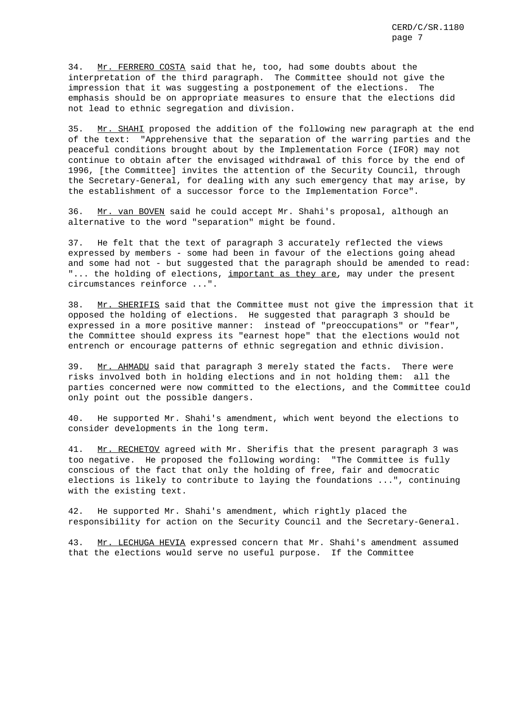34. Mr. FERRERO COSTA said that he, too, had some doubts about the interpretation of the third paragraph. The Committee should not give the impression that it was suggesting a postponement of the elections. The emphasis should be on appropriate measures to ensure that the elections did not lead to ethnic segregation and division.

35. Mr. SHAHI proposed the addition of the following new paragraph at the end of the text: "Apprehensive that the separation of the warring parties and the peaceful conditions brought about by the Implementation Force (IFOR) may not continue to obtain after the envisaged withdrawal of this force by the end of 1996, [the Committee] invites the attention of the Security Council, through the Secretary-General, for dealing with any such emergency that may arise, by the establishment of a successor force to the Implementation Force".

36. Mr. van BOVEN said he could accept Mr. Shahi's proposal, although an alternative to the word "separation" might be found.

37. He felt that the text of paragraph 3 accurately reflected the views expressed by members - some had been in favour of the elections going ahead and some had not - but suggested that the paragraph should be amended to read: "... the holding of elections, important as they are, may under the present circumstances reinforce ...".

38. Mr. SHERIFIS said that the Committee must not give the impression that it opposed the holding of elections. He suggested that paragraph 3 should be expressed in a more positive manner: instead of "preoccupations" or "fear", the Committee should express its "earnest hope" that the elections would not entrench or encourage patterns of ethnic segregation and ethnic division.

39. Mr. AHMADU said that paragraph 3 merely stated the facts. There were risks involved both in holding elections and in not holding them: all the parties concerned were now committed to the elections, and the Committee could only point out the possible dangers.

40. He supported Mr. Shahi's amendment, which went beyond the elections to consider developments in the long term.

41. Mr. RECHETOV agreed with Mr. Sherifis that the present paragraph 3 was too negative. He proposed the following wording: "The Committee is fully conscious of the fact that only the holding of free, fair and democratic elections is likely to contribute to laying the foundations ...", continuing with the existing text.

42. He supported Mr. Shahi's amendment, which rightly placed the responsibility for action on the Security Council and the Secretary-General.

43. Mr. LECHUGA HEVIA expressed concern that Mr. Shahi's amendment assumed that the elections would serve no useful purpose. If the Committee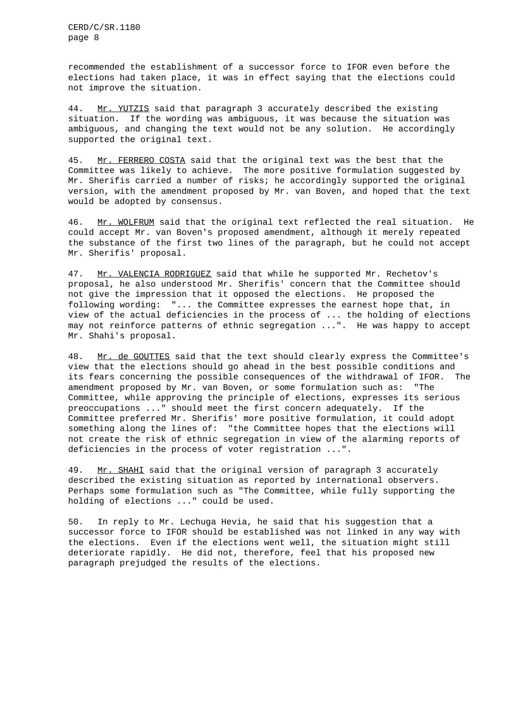recommended the establishment of a successor force to IFOR even before the elections had taken place, it was in effect saying that the elections could not improve the situation.

44. Mr. YUTZIS said that paragraph 3 accurately described the existing situation. If the wording was ambiguous, it was because the situation was ambiguous, and changing the text would not be any solution. He accordingly supported the original text.

45. Mr. FERRERO COSTA said that the original text was the best that the Committee was likely to achieve. The more positive formulation suggested by Mr. Sherifis carried a number of risks; he accordingly supported the original version, with the amendment proposed by Mr. van Boven, and hoped that the text would be adopted by consensus.

46. Mr. WOLFRUM said that the original text reflected the real situation. He could accept Mr. van Boven's proposed amendment, although it merely repeated the substance of the first two lines of the paragraph, but he could not accept Mr. Sherifis' proposal.

47. Mr. VALENCIA RODRIGUEZ said that while he supported Mr. Rechetov's proposal, he also understood Mr. Sherifis' concern that the Committee should not give the impression that it opposed the elections. He proposed the following wording: "... the Committee expresses the earnest hope that, in view of the actual deficiencies in the process of ... the holding of elections may not reinforce patterns of ethnic segregation ...". He was happy to accept Mr. Shahi's proposal.

48. Mr. de GOUTTES said that the text should clearly express the Committee's view that the elections should go ahead in the best possible conditions and its fears concerning the possible consequences of the withdrawal of IFOR. The amendment proposed by Mr. van Boven, or some formulation such as: "The Committee, while approving the principle of elections, expresses its serious preoccupations ..." should meet the first concern adequately. If the Committee preferred Mr. Sherifis' more positive formulation, it could adopt something along the lines of: "the Committee hopes that the elections will not create the risk of ethnic segregation in view of the alarming reports of deficiencies in the process of voter registration ...".

49. Mr. SHAHI said that the original version of paragraph 3 accurately described the existing situation as reported by international observers. Perhaps some formulation such as "The Committee, while fully supporting the holding of elections ..." could be used.

50. In reply to Mr. Lechuga Hevia, he said that his suggestion that a successor force to IFOR should be established was not linked in any way with the elections. Even if the elections went well, the situation might still deteriorate rapidly. He did not, therefore, feel that his proposed new paragraph prejudged the results of the elections.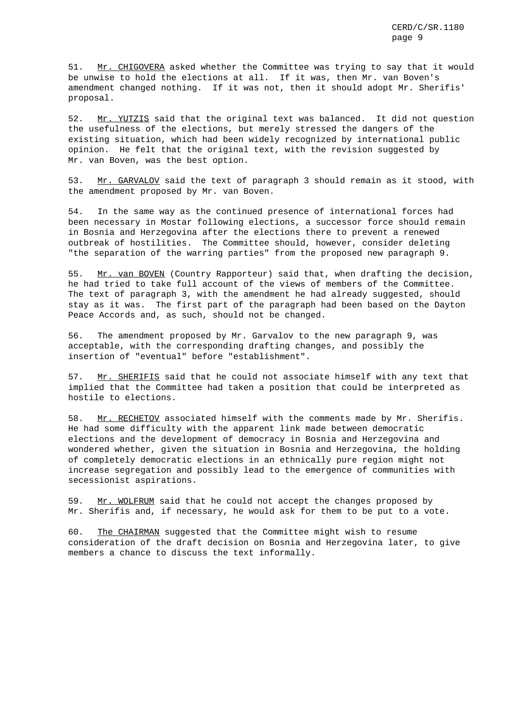51. Mr. CHIGOVERA asked whether the Committee was trying to say that it would be unwise to hold the elections at all. If it was, then Mr. van Boven's amendment changed nothing. If it was not, then it should adopt Mr. Sherifis' proposal.

52. Mr. YUTZIS said that the original text was balanced. It did not question the usefulness of the elections, but merely stressed the dangers of the existing situation, which had been widely recognized by international public opinion. He felt that the original text, with the revision suggested by Mr. van Boven, was the best option.

53. Mr. GARVALOV said the text of paragraph 3 should remain as it stood, with the amendment proposed by Mr. van Boven.

54. In the same way as the continued presence of international forces had been necessary in Mostar following elections, a successor force should remain in Bosnia and Herzegovina after the elections there to prevent a renewed outbreak of hostilities. The Committee should, however, consider deleting "the separation of the warring parties" from the proposed new paragraph 9.

55. Mr. van BOVEN (Country Rapporteur) said that, when drafting the decision, he had tried to take full account of the views of members of the Committee. The text of paragraph 3, with the amendment he had already suggested, should stay as it was. The first part of the paragraph had been based on the Dayton Peace Accords and, as such, should not be changed.

56. The amendment proposed by Mr. Garvalov to the new paragraph 9, was acceptable, with the corresponding drafting changes, and possibly the insertion of "eventual" before "establishment".

57. Mr. SHERIFIS said that he could not associate himself with any text that implied that the Committee had taken a position that could be interpreted as hostile to elections.

58. Mr. RECHETOV associated himself with the comments made by Mr. Sherifis. He had some difficulty with the apparent link made between democratic elections and the development of democracy in Bosnia and Herzegovina and wondered whether, given the situation in Bosnia and Herzegovina, the holding of completely democratic elections in an ethnically pure region might not increase segregation and possibly lead to the emergence of communities with secessionist aspirations.

59. Mr. WOLFRUM said that he could not accept the changes proposed by Mr. Sherifis and, if necessary, he would ask for them to be put to a vote.

60. The CHAIRMAN suggested that the Committee might wish to resume consideration of the draft decision on Bosnia and Herzegovina later, to give members a chance to discuss the text informally.